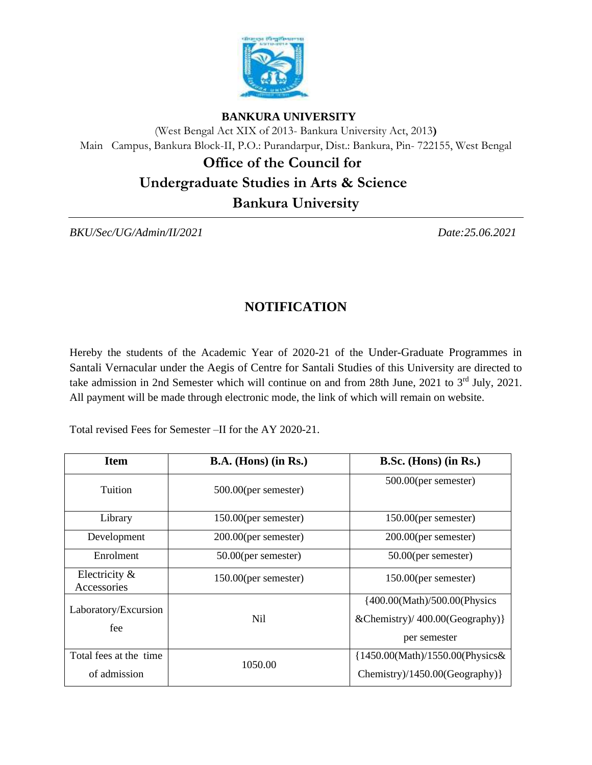

#### **BANKURA UNIVERSITY**

(West Bengal Act XIX of 2013- Bankura University Act, 2013**)** Main Campus, Bankura Block-II, P.O.: Purandarpur, Dist.: Bankura, Pin- 722155, West Bengal

 **Office of the Council for** 

# **Undergraduate Studies in Arts & Science**

**Bankura University** 

*BKU/Sec/UG/Admin/II/2021 Date:25.06.2021*

## **NOTIFICATION**

Hereby the students of the Academic Year of 2020-21 of the Under-Graduate Programmes in Santali Vernacular under the Aegis of Centre for Santali Studies of this University are directed to take admission in 2nd Semester which will continue on and from 28th June, 2021 to 3<sup>rd</sup> July, 2021. All payment will be made through electronic mode, the link of which will remain on website.

Total revised Fees for Semester –II for the AY 2020-21.

| <b>Item</b>                            | $B.A.$ (Hons) (in Rs.)  | B.Sc. (Hons) (in Rs.)                                                                |
|----------------------------------------|-------------------------|--------------------------------------------------------------------------------------|
| Tuition                                | $500.00$ (per semester) | 500.00(per semester)                                                                 |
| Library                                | 150.00(per semester)    | $150.00$ (per semester)                                                              |
| Development                            | $200.00$ (per semester) | $200.00$ (per semester)                                                              |
| Enrolment                              | $50.00$ (per semester)  | $50.00$ (per semester)                                                               |
| Electricity &<br>Accessories           | $150.00$ (per semester) | $150.00$ (per semester)                                                              |
| Laboratory/Excursion<br>fee            | Nil.                    | {400.00(Math)/500.00(Physics<br>& Chemistry $/$ 400.00 (Geography) }<br>per semester |
| Total fees at the time<br>of admission | 1050.00                 | {1450.00(Math)/1550.00(Physics&<br>Chemistry)/1450.00(Geography)}                    |